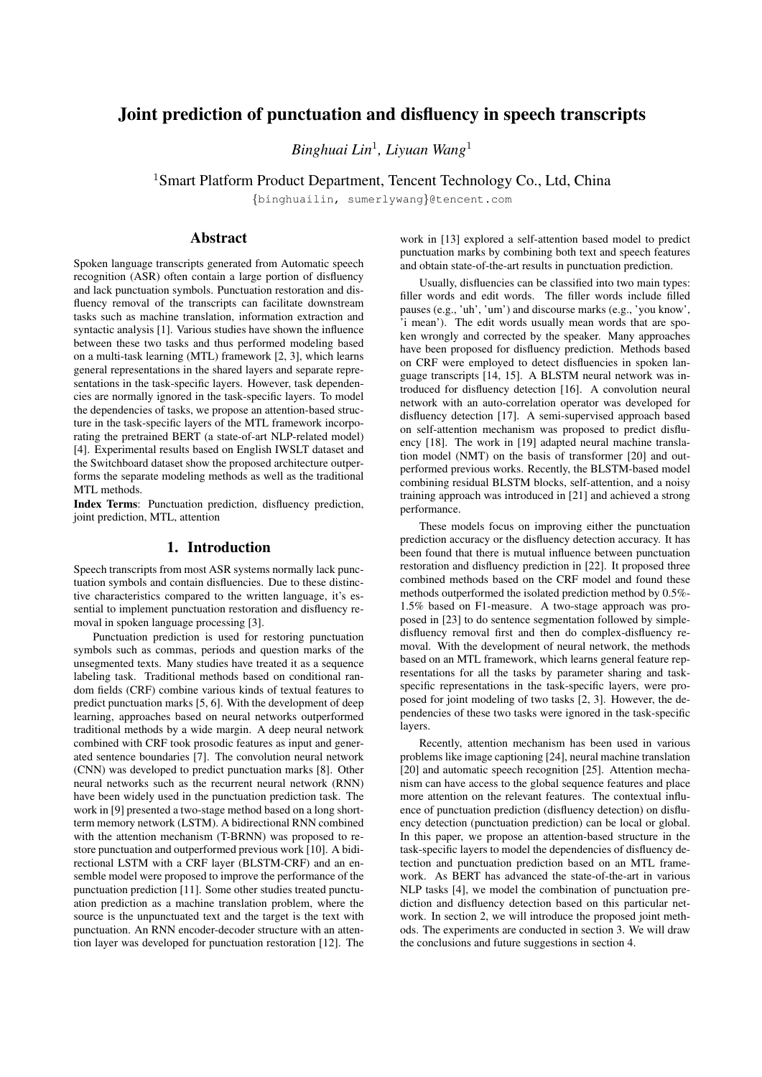# Joint prediction of punctuation and disfluency in speech transcripts

*Binghuai Lin*<sup>1</sup> *, Liyuan Wang*<sup>1</sup>

<sup>1</sup>Smart Platform Product Department, Tencent Technology Co., Ltd, China

*{*binghuailin, sumerlywang*}*@tencent.com

## Abstract

Spoken language transcripts generated from Automatic speech recognition (ASR) often contain a large portion of disfluency and lack punctuation symbols. Punctuation restoration and disfluency removal of the transcripts can facilitate downstream tasks such as machine translation, information extraction and syntactic analysis [1]. Various studies have shown the influence between these two tasks and thus performed modeling based on a multi-task learning (MTL) framework [2, 3], which learns general representations in the shared layers and separate representations in the task-specific layers. However, task dependencies are normally ignored in the task-specific layers. To model the dependencies of tasks, we propose an attention-based structure in the task-specific layers of the MTL framework incorporating the pretrained BERT (a state-of-art NLP-related model) [4]. Experimental results based on English IWSLT dataset and the Switchboard dataset show the proposed architecture outperforms the separate modeling methods as well as the traditional MTL methods.

Index Terms: Punctuation prediction, disfluency prediction, joint prediction, MTL, attention

### 1. Introduction

Speech transcripts from most ASR systems normally lack punctuation symbols and contain disfluencies. Due to these distinctive characteristics compared to the written language, it's essential to implement punctuation restoration and disfluency removal in spoken language processing [3].

Punctuation prediction is used for restoring punctuation symbols such as commas, periods and question marks of the unsegmented texts. Many studies have treated it as a sequence labeling task. Traditional methods based on conditional random fields (CRF) combine various kinds of textual features to predict punctuation marks [5, 6]. With the development of deep learning, approaches based on neural networks outperformed traditional methods by a wide margin. A deep neural network combined with CRF took prosodic features as input and generated sentence boundaries [7]. The convolution neural network (CNN) was developed to predict punctuation marks [8]. Other neural networks such as the recurrent neural network (RNN) have been widely used in the punctuation prediction task. The work in [9] presented a two-stage method based on a long shortterm memory network (LSTM). A bidirectional RNN combined with the attention mechanism (T-BRNN) was proposed to restore punctuation and outperformed previous work [10]. A bidirectional LSTM with a CRF layer (BLSTM-CRF) and an ensemble model were proposed to improve the performance of the punctuation prediction [11]. Some other studies treated punctuation prediction as a machine translation problem, where the source is the unpunctuated text and the target is the text with punctuation. An RNN encoder-decoder structure with an attention layer was developed for punctuation restoration [12]. The work in [13] explored a self-attention based model to predict punctuation marks by combining both text and speech features and obtain state-of-the-art results in punctuation prediction.

Usually, disfluencies can be classified into two main types: filler words and edit words. The filler words include filled pauses (e.g., 'uh', 'um') and discourse marks (e.g., 'you know', 'i mean'). The edit words usually mean words that are spoken wrongly and corrected by the speaker. Many approaches have been proposed for disfluency prediction. Methods based on CRF were employed to detect disfluencies in spoken language transcripts [14, 15]. A BLSTM neural network was introduced for disfluency detection [16]. A convolution neural network with an auto-correlation operator was developed for disfluency detection [17]. A semi-supervised approach based on self-attention mechanism was proposed to predict disfluency [18]. The work in [19] adapted neural machine translation model (NMT) on the basis of transformer [20] and outperformed previous works. Recently, the BLSTM-based model combining residual BLSTM blocks, self-attention, and a noisy training approach was introduced in [21] and achieved a strong performance.

These models focus on improving either the punctuation prediction accuracy or the disfluency detection accuracy. It has been found that there is mutual influence between punctuation restoration and disfluency prediction in [22]. It proposed three combined methods based on the CRF model and found these methods outperformed the isolated prediction method by 0.5%- 1.5% based on F1-measure. A two-stage approach was proposed in [23] to do sentence segmentation followed by simpledisfluency removal first and then do complex-disfluency removal. With the development of neural network, the methods based on an MTL framework, which learns general feature representations for all the tasks by parameter sharing and taskspecific representations in the task-specific layers, were proposed for joint modeling of two tasks [2, 3]. However, the dependencies of these two tasks were ignored in the task-specific layers.

Recently, attention mechanism has been used in various problems like image captioning [24], neural machine translation [20] and automatic speech recognition [25]. Attention mechanism can have access to the global sequence features and place more attention on the relevant features. The contextual influence of punctuation prediction (disfluency detection) on disfluency detection (punctuation prediction) can be local or global. In this paper, we propose an attention-based structure in the task-specific layers to model the dependencies of disfluency detection and punctuation prediction based on an MTL framework. As BERT has advanced the state-of-the-art in various NLP tasks [4], we model the combination of punctuation prediction and disfluency detection based on this particular network. In section 2, we will introduce the proposed joint methods. The experiments are conducted in section 3. We will draw the conclusions and future suggestions in section 4.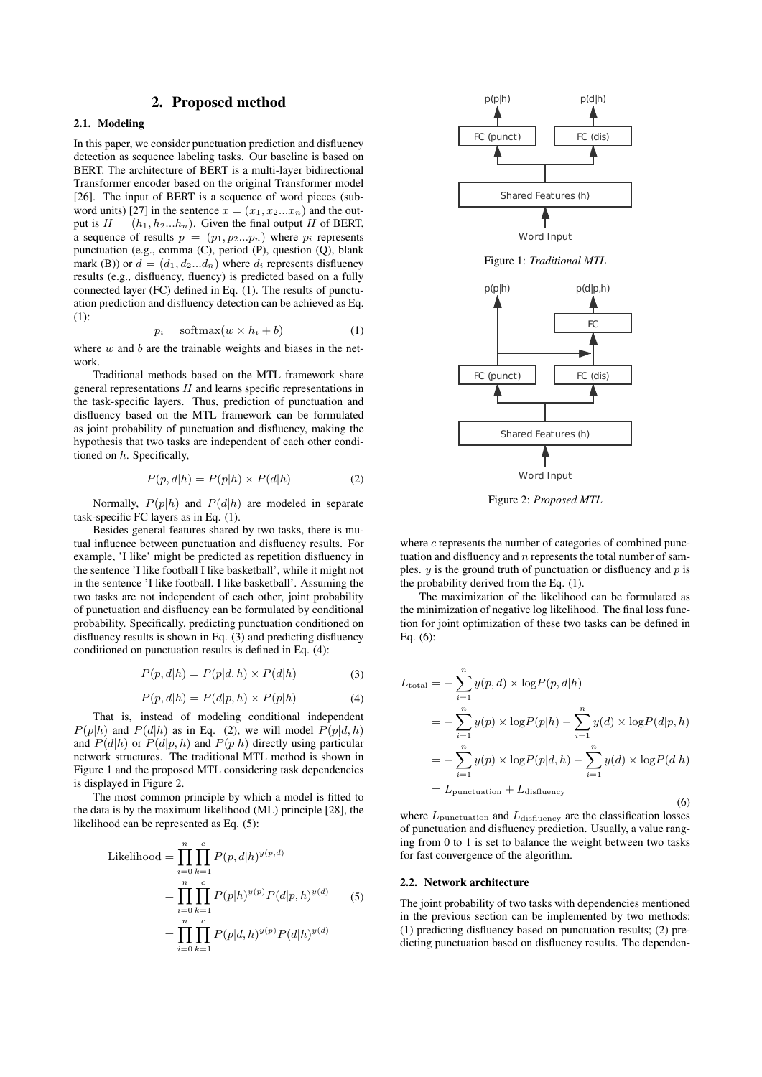### 2. Proposed method

### 2.1. Modeling

In this paper, we consider punctuation prediction and disfluency detection as sequence labeling tasks. Our baseline is based on BERT. The architecture of BERT is a multi-layer bidirectional Transformer encoder based on the original Transformer model [26]. The input of BERT is a sequence of word pieces (subword units) [27] in the sentence  $x = (x_1, x_2...x_n)$  and the output is  $H = (h_1, h_2...h_n)$ . Given the final output *H* of BERT, a sequence of results  $p = (p_1, p_2...p_n)$  where  $p_i$  represents punctuation (e.g., comma (C), period (P), question (Q), blank mark (B)) or  $d = (d_1, d_2...d_n)$  where  $d_i$  represents disfluency results (e.g., disfluency, fluency) is predicted based on a fully connected layer (FC) defined in Eq. (1). The results of punctuation prediction and disfluency detection can be achieved as Eq. (1):

$$
p_i = \text{softmax}(w \times h_i + b) \tag{1}
$$

where *w* and *b* are the trainable weights and biases in the network.

Traditional methods based on the MTL framework share general representations *H* and learns specific representations in the task-specific layers. Thus, prediction of punctuation and disfluency based on the MTL framework can be formulated as joint probability of punctuation and disfluency, making the hypothesis that two tasks are independent of each other conditioned on *h*. Specifically,

$$
P(p,d|h) = P(p|h) \times P(d|h)
$$
 (2)

Normally,  $P(p|h)$  and  $P(d|h)$  are modeled in separate task-specific FC layers as in Eq. (1).

Besides general features shared by two tasks, there is mutual influence between punctuation and disfluency results. For example, 'I like' might be predicted as repetition disfluency in the sentence 'I like football I like basketball', while it might not in the sentence 'I like football. I like basketball'. Assuming the two tasks are not independent of each other, joint probability of punctuation and disfluency can be formulated by conditional probability. Specifically, predicting punctuation conditioned on disfluency results is shown in Eq. (3) and predicting disfluency conditioned on punctuation results is defined in Eq. (4):

$$
P(p,d|h) = P(p|d,h) \times P(d|h)
$$
\n(3)

$$
P(p,d|h) = P(d|p,h) \times P(p|h)
$$
\n(4)

That is, instead of modeling conditional independent  $P(p|h)$  and  $P(d|h)$  as in Eq. (2), we will model  $P(p|d, h)$ and  $P(d|h)$  or  $P(d|p,h)$  and  $P(p|h)$  directly using particular network structures. The traditional MTL method is shown in Figure 1 and the proposed MTL considering task dependencies is displayed in Figure 2.

The most common principle by which a model is fitted to the data is by the maximum likelihood (ML) principle [28], the likelihood can be represented as Eq. (5):

Likelihood = 
$$
\prod_{i=0}^{n} \prod_{k=1}^{c} P(p, d|h)^{y(p, d)}
$$
  
= 
$$
\prod_{i=0}^{n} \prod_{k=1}^{c} P(p|h)^{y(p)} P(d|p, h)^{y(d)}
$$
 (5)  
= 
$$
\prod_{i=0}^{n} \prod_{k=1}^{c} P(p|d, h)^{y(p)} P(d|h)^{y(d)}
$$



Figure 2: *Proposed MTL*

where *c* represents the number of categories of combined punctuation and disfluency and *n* represents the total number of samples. *y* is the ground truth of punctuation or disfluency and *p* is the probability derived from the Eq. (1).

The maximization of the likelihood can be formulated as the minimization of negative log likelihood. The final loss function for joint optimization of these two tasks can be defined in Eq. (6):

$$
L_{\text{total}} = -\sum_{i=1}^{n} y(p, d) \times \log P(p, d|h)
$$
  
= 
$$
-\sum_{i=1}^{n} y(p) \times \log P(p|h) - \sum_{i=1}^{n} y(d) \times \log P(d|p, h)
$$
  
= 
$$
-\sum_{i=1}^{n} y(p) \times \log P(p|d, h) - \sum_{i=1}^{n} y(d) \times \log P(d|h)
$$
  
= 
$$
L_{\text{punctuation}} + L_{\text{disfluency}}
$$
 (6)

where  $L_{\text{punction}}$  and  $L_{\text{disfluency}}$  are the classification losses of punctuation and disfluency prediction. Usually, a value ranging from 0 to 1 is set to balance the weight between two tasks for fast convergence of the algorithm.

#### 2.2. Network architecture

The joint probability of two tasks with dependencies mentioned in the previous section can be implemented by two methods: (1) predicting disfluency based on punctuation results; (2) predicting punctuation based on disfluency results. The dependen-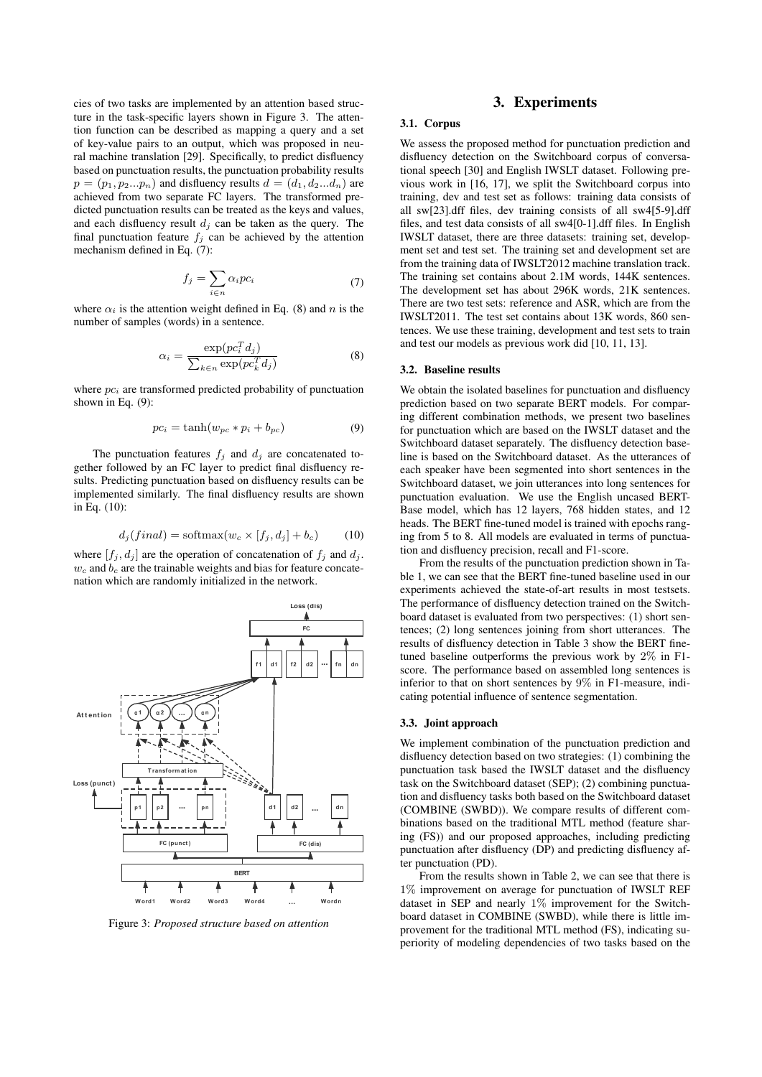cies of two tasks are implemented by an attention based structure in the task-specific layers shown in Figure 3. The attention function can be described as mapping a query and a set of key-value pairs to an output, which was proposed in neural machine translation [29]. Specifically, to predict disfluency based on punctuation results, the punctuation probability results  $p = (p_1, p_2...p_n)$  and disfluency results  $d = (d_1, d_2...d_n)$  are achieved from two separate FC layers. The transformed predicted punctuation results can be treated as the keys and values, and each disfluency result  $d_j$  can be taken as the query. The final punctuation feature  $f_j$  can be achieved by the attention mechanism defined in Eq. (7):

$$
f_j = \sum_{i \in n} \alpha_i p c_i \tag{7}
$$

where  $\alpha_i$  is the attention weight defined in Eq. (8) and *n* is the number of samples (words) in a sentence.

$$
\alpha_i = \frac{\exp(p c_i^T d_j)}{\sum_{k \in n} \exp(p c_k^T d_j)}
$$
(8)

where  $pc<sub>i</sub>$  are transformed predicted probability of punctuation shown in Eq. (9):

$$
pc_i = \tanh(w_{pc} * p_i + b_{pc})
$$
\n(9)

The punctuation features  $f_j$  and  $d_j$  are concatenated together followed by an FC layer to predict final disfluency results. Predicting punctuation based on disfluency results can be implemented similarly. The final disfluency results are shown in Eq. (10):

$$
d_j(final) = \text{softmax}(w_c \times [f_j, d_j] + b_c) \tag{10}
$$

where  $[f_j, d_j]$  are the operation of concatenation of  $f_j$  and  $d_j$ .  $w_c$  and  $b_c$  are the trainable weights and bias for feature concatenation which are randomly initialized in the network.



Figure 3: *Proposed structure based on attention*

#### 3. Experiments

#### 3.1. Corpus

We assess the proposed method for punctuation prediction and disfluency detection on the Switchboard corpus of conversational speech [30] and English IWSLT dataset. Following previous work in [16, 17], we split the Switchboard corpus into training, dev and test set as follows: training data consists of all sw[23].dff files, dev training consists of all sw4[5-9].dff files, and test data consists of all sw4[0-1].dff files. In English IWSLT dataset, there are three datasets: training set, development set and test set. The training set and development set are from the training data of IWSLT2012 machine translation track. The training set contains about 2.1M words, 144K sentences. The development set has about 296K words, 21K sentences. There are two test sets: reference and ASR, which are from the IWSLT2011. The test set contains about 13K words, 860 sentences. We use these training, development and test sets to train and test our models as previous work did [10, 11, 13].

#### 3.2. Baseline results

We obtain the isolated baselines for punctuation and disfluency prediction based on two separate BERT models. For comparing different combination methods, we present two baselines for punctuation which are based on the IWSLT dataset and the Switchboard dataset separately. The disfluency detection baseline is based on the Switchboard dataset. As the utterances of each speaker have been segmented into short sentences in the Switchboard dataset, we join utterances into long sentences for punctuation evaluation. We use the English uncased BERT-Base model, which has 12 layers, 768 hidden states, and 12 heads. The BERT fine-tuned model is trained with epochs ranging from 5 to 8. All models are evaluated in terms of punctuation and disfluency precision, recall and F1-score.

From the results of the punctuation prediction shown in Table 1, we can see that the BERT fine-tuned baseline used in our experiments achieved the state-of-art results in most testsets. The performance of disfluency detection trained on the Switchboard dataset is evaluated from two perspectives: (1) short sentences; (2) long sentences joining from short utterances. The results of disfluency detection in Table 3 show the BERT finetuned baseline outperforms the previous work by 2% in F1 score. The performance based on assembled long sentences is inferior to that on short sentences by 9% in F1-measure, indicating potential influence of sentence segmentation.

#### 3.3. Joint approach

We implement combination of the punctuation prediction and disfluency detection based on two strategies: (1) combining the punctuation task based the IWSLT dataset and the disfluency task on the Switchboard dataset (SEP); (2) combining punctuation and disfluency tasks both based on the Switchboard dataset (COMBINE (SWBD)). We compare results of different combinations based on the traditional MTL method (feature sharing (FS)) and our proposed approaches, including predicting punctuation after disfluency (DP) and predicting disfluency after punctuation (PD).

From the results shown in Table 2, we can see that there is 1% improvement on average for punctuation of IWSLT REF dataset in SEP and nearly 1% improvement for the Switchboard dataset in COMBINE (SWBD), while there is little improvement for the traditional MTL method (FS), indicating superiority of modeling dependencies of two tasks based on the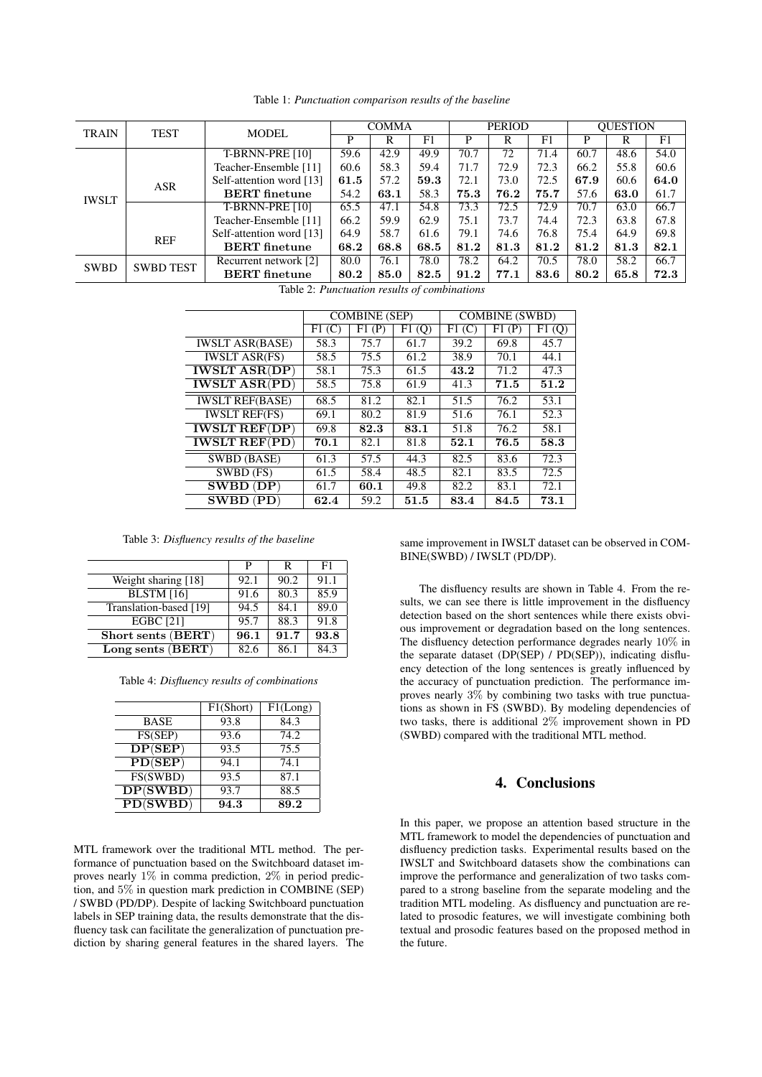| <b>TRAIN</b> | <b>TEST</b>      | <b>MODEL</b>             | <b>COMMA</b> |      |      | <b>PERIOD</b> |      |      | <b>OUESTION</b> |      |      |
|--------------|------------------|--------------------------|--------------|------|------|---------------|------|------|-----------------|------|------|
|              |                  |                          | P            | R    | F1   | P             | R    | F1   | P               | R    | F1   |
| <b>IWSLT</b> |                  | T-BRNN-PRE [10]          | 59.6         | 42.9 | 49.9 | 70.7          | 72   | 71.4 | 60.7            | 48.6 | 54.0 |
|              |                  | Teacher-Ensemble [11]    | 60.6         | 58.3 | 59.4 | 71.7          | 72.9 | 72.3 | 66.2            | 55.8 | 60.6 |
|              | <b>ASR</b>       | Self-attention word [13] | 61.5         | 57.2 | 59.3 | 72.1          | 73.0 | 72.5 | 67.9            | 60.6 | 64.0 |
|              |                  | <b>BERT</b> finetune     | 54.2         | 63.1 | 58.3 | 75.3          | 76.2 | 75.7 | 57.6            | 63.0 | 61.7 |
|              |                  | <b>T-BRNN-PRE [10]</b>   | 65.5         | 47.1 | 54.8 | 73.3          | 72.5 | 72.9 | 70.7            | 63.0 | 66.7 |
|              |                  | Teacher-Ensemble [11]    | 66.2         | 59.9 | 62.9 | 75.1          | 73.7 | 74.4 | 72.3            | 63.8 | 67.8 |
|              | <b>REF</b>       | Self-attention word [13] | 64.9         | 58.7 | 61.6 | 79.1          | 74.6 | 76.8 | 75.4            | 64.9 | 69.8 |
|              |                  | <b>BERT</b> finetune     | 68.2         | 68.8 | 68.5 | 81.2          | 81.3 | 81.2 | 81.2            | 81.3 | 82.1 |
| <b>SWBD</b>  | <b>SWBD TEST</b> | Recurrent network [2]    | 80.0         | 76.1 | 78.0 | 78.2          | 64.2 | 70.5 | 78.0            | 58.2 | 66.7 |
|              |                  | <b>BERT</b> finetune     | 80.2         | 85.0 | 82.5 | 91.2          | 77.1 | 83.6 | 80.2            | 65.8 | 72.3 |

Table 1: *Punctuation comparison results of the baseline*

Table 2: *Punctuation results of combinations*

|                                                  | <b>COMBINE</b> (SEP) |       |        | <b>COMBINE (SWBD)</b> |       |        |  |
|--------------------------------------------------|----------------------|-------|--------|-----------------------|-------|--------|--|
|                                                  | F1(C)                | F1(P) | F1 (Q) | F1(C)                 | F1(P) | F1 (Q) |  |
| <b>IWSLT ASR(BASE)</b>                           | 58.3                 | 75.7  | 61.7   | 39.2                  | 69.8  | 45.7   |  |
| <b>IWSLT ASR(FS)</b>                             | 58.5                 | 75.5  | 61.2   | 38.9                  | 70.1  | 44.1   |  |
| <b>IWSLT ASR(DP)</b>                             | 58.1                 | 75.3  | 61.5   | 43.2                  | 71.2  | 47.3   |  |
| $\overline{\text{IWSLT} \text{ ASR}}(\text{PD})$ | 58.5                 | 75.8  | 61.9   | 41.3                  | 71.5  | 51.2   |  |
| <b>IWSLT REF(BASE)</b>                           | 68.5                 | 81.2  | 82.1   | 51.5                  | 76.2  | 53.1   |  |
| <b>IWSLT REF(FS)</b>                             | 69.1                 | 80.2  | 81.9   | 51.6                  | 76.1  | 52.3   |  |
| <b>IWSLT REF(DP)</b>                             | 69.8                 | 82.3  | 83.1   | 51.8                  | 76.2  | 58.1   |  |
| <b>IWSLT REF(PD)</b>                             | 70.1                 | 82.1  | 81.8   | 52.1                  | 76.5  | 58.3   |  |
| <b>SWBD</b> (BASE)                               | 61.3                 | 57.5  | 44.3   | 82.5                  | 83.6  | 72.3   |  |
| SWBD (FS)                                        | 61.5                 | 58.4  | 48.5   | 82.1                  | 83.5  | 72.5   |  |
| $SWBD$ $(DP)$                                    | 61.7                 | 60.1  | 49.8   | 82.2                  | 83.1  | 72.1   |  |
| $SWBD$ $(PD)$                                    | 62.4                 | 59.2  | 51.5   | 83.4                  | 84.5  | 73.1   |  |

Table 3: *Disfluency results of the baseline*

|                                | P    | R    | F1   |
|--------------------------------|------|------|------|
| Weight sharing [18]            | 92.1 | 90.2 | 91.1 |
| $\overline{\text{BLSTM}}$ [16] | 91.6 | 80.3 | 85.9 |
| Translation-based [19]         | 94.5 | 84.1 | 89.0 |
| <b>EGBC</b> [21]               | 95.7 | 88.3 | 91.8 |
| Short sents (BERT)             | 96.1 | 91.7 | 93.8 |
| Long sents (BERT)              | 82.6 | 86.1 | 84.3 |

Table 4: *Disfluency results of combinations*

|                                         | F1(Short) | F1(Long) |
|-----------------------------------------|-----------|----------|
| <b>BASE</b>                             | 93.8      | 84.3     |
| FS(SEP)                                 | 93.6      | 74.2     |
| $\overline{\text{DP}(\text{SEP})}$      | 93.5      | 75.5     |
| PD(SEP)                                 | 94.1      | 74.1     |
| FS(SWBD)                                | 93.5      | 87.1     |
| $\overline{\mathbf{DP}(\mathbf{SWBD})}$ | 93.7      | 88.5     |
| PD(SWBD)                                | 94.3      | 89.2     |

MTL framework over the traditional MTL method. The performance of punctuation based on the Switchboard dataset improves nearly 1% in comma prediction, 2% in period prediction, and 5% in question mark prediction in COMBINE (SEP) / SWBD (PD/DP). Despite of lacking Switchboard punctuation labels in SEP training data, the results demonstrate that the disfluency task can facilitate the generalization of punctuation prediction by sharing general features in the shared layers. The

same improvement in IWSLT dataset can be observed in COM-BINE(SWBD) / IWSLT (PD/DP).

The disfluency results are shown in Table 4. From the results, we can see there is little improvement in the disfluency detection based on the short sentences while there exists obvious improvement or degradation based on the long sentences. The disfluency detection performance degrades nearly 10% in the separate dataset (DP(SEP) / PD(SEP)), indicating disfluency detection of the long sentences is greatly influenced by the accuracy of punctuation prediction. The performance improves nearly  $3\%$  by combining two tasks with true punctuations as shown in FS (SWBD). By modeling dependencies of two tasks, there is additional 2% improvement shown in PD (SWBD) compared with the traditional MTL method.

## 4. Conclusions

In this paper, we propose an attention based structure in the MTL framework to model the dependencies of punctuation and disfluency prediction tasks. Experimental results based on the IWSLT and Switchboard datasets show the combinations can improve the performance and generalization of two tasks compared to a strong baseline from the separate modeling and the tradition MTL modeling. As disfluency and punctuation are related to prosodic features, we will investigate combining both textual and prosodic features based on the proposed method in the future.